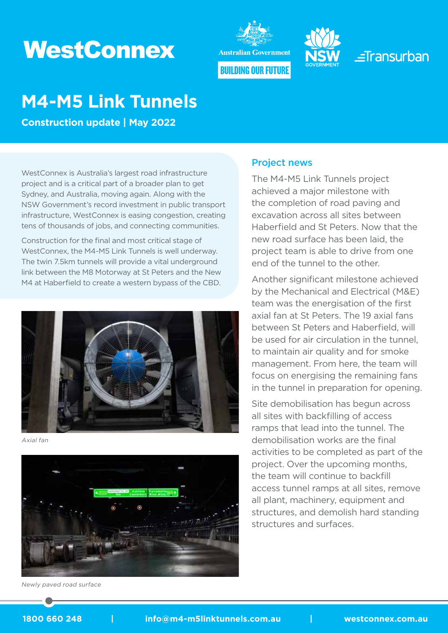# **WestConnex**





 $=$ Transurban

## **M4-M5 Link Tunnels**

**Construction update | May 2022**

WestConnex is Australia's largest road infrastructure project and is a critical part of a broader plan to get Sydney, and Australia, moving again. Along with the NSW Government's record investment in public transport infrastructure, WestConnex is easing congestion, creating tens of thousands of jobs, and connecting communities.

Construction for the final and most critical stage of WestConnex, the M4-M5 Link Tunnels is well underway. The twin 7.5km tunnels will provide a vital underground link between the M8 Motorway at St Peters and the New M4 at Haberfield to create a western bypass of the CBD.



Axial fan



Newly paved road surface

#### Project news

The M4-M5 Link Tunnels project achieved a major milestone with the completion of road paving and excavation across all sites between Haberfield and St Peters. Now that the new road surface has been laid, the project team is able to drive from one end of the tunnel to the other.

Another significant milestone achieved by the Mechanical and Electrical (M&E) team was the energisation of the first axial fan at St Peters. The 19 axial fans between St Peters and Haberfield, will be used for air circulation in the tunnel, to maintain air quality and for smoke management. From here, the team will focus on energising the remaining fans in the tunnel in preparation for opening.

Site demobilisation has begun across all sites with backfilling of access ramps that lead into the tunnel. The demobilisation works are the final activities to be completed as part of the project. Over the upcoming months, the team will continue to backfill access tunnel ramps at all sites, remove all plant, machinery, equipment and structures, and demolish hard standing structures and surfaces.

#### 1800 660 248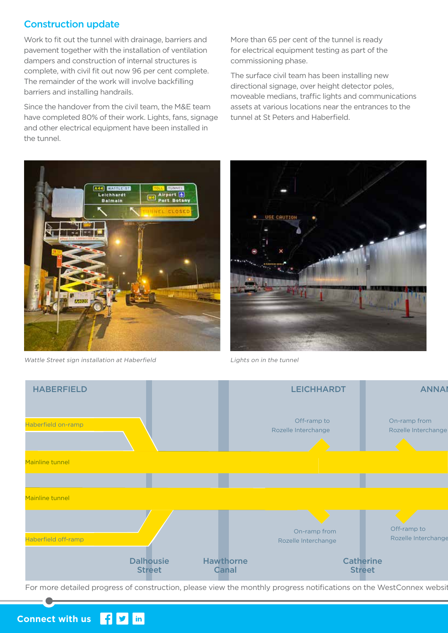## Construction update

Work to fit out the tunnel with drainage, barriers and pavement together with the installation of ventilation dampers and construction of internal structures is complete, with civil fit out now 96 per cent complete. The remainder of the work will involve backfilling barriers and installing handrails.

Since the handover from the civil team, the M&E team have completed 80% of their work. Lights, fans, signage and other electrical equipment have been installed in the tunnel.

More than 65 per cent of the tunnel is ready for electrical equipment testing as part of the commissioning phase.

The surface civil team has been installing new directional signage, over height detector poles, moveable medians, traffic lights and communications assets at various locations near the entrances to the tunnel at St Peters and Haberfield.



Wattle Street sign installation at Haberfield **Lights on in the tunnel** 





For more detailed progress of construction, please view the monthly progress notifications on the WestConnex websit

#### $\mathbf{f}$   $\mathbf{y}$  in **Connect with us**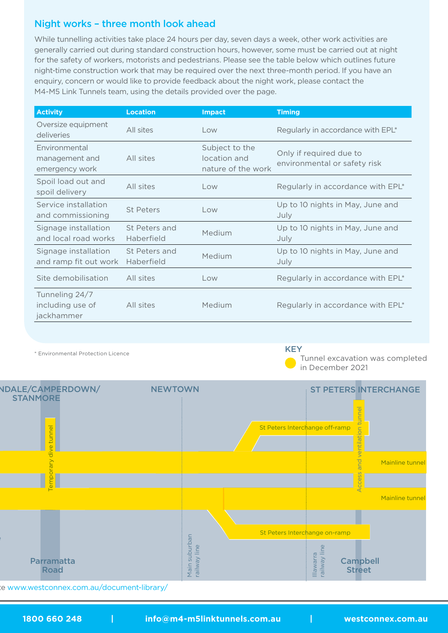## Night works – three month look ahead

While tunnelling activities take place 24 hours per day, seven days a week, other work activities are generally carried out during standard construction hours, however, some must be carried out at night for the safety of workers, motorists and pedestrians. Please see the table below which outlines future night-time construction work that may be required over the next three-month period. If you have an enquiry, concern or would like to provide feedback about the night work, please contact the M4-M5 Link Tunnels team, using the details provided over the page.

| <b>Activity</b>                                   | <b>Location</b>             | <b>Impact</b>                                        | <b>Timing</b>                                           |
|---------------------------------------------------|-----------------------------|------------------------------------------------------|---------------------------------------------------------|
| Oversize equipment<br>deliveries                  | All sites                   | Low                                                  | Regularly in accordance with EPL*                       |
| Environmental<br>management and<br>emergency work | All sites                   | Subject to the<br>location and<br>nature of the work | Only if required due to<br>environmental or safety risk |
| Spoil load out and<br>spoil delivery              | All sites                   | Low                                                  | Regularly in accordance with EPL*                       |
| Service installation<br>and commissioning         | <b>St Peters</b>            | $\overline{\wedge}$                                  | Up to 10 nights in May, June and<br>July                |
| Signage installation<br>and local road works      | St Peters and<br>Haberfield | Medium                                               | Up to 10 nights in May, June and<br>July                |
| Signage installation<br>and ramp fit out work     | St Peters and<br>Haberfield | Medium                                               | Up to 10 nights in May, June and<br>July                |
| Site demobilisation                               | All sites                   | Low                                                  | Regularly in accordance with EPL*                       |
| Tunneling 24/7<br>including use of<br>jackhammer  | All sites                   | Medium                                               | Regularly in accordance with EPL*                       |

\* Environmental Protection Licence

#### **KEY**

 Tunnel excavation was completed in December 2021



For www.westconnex.com.au/document-library/